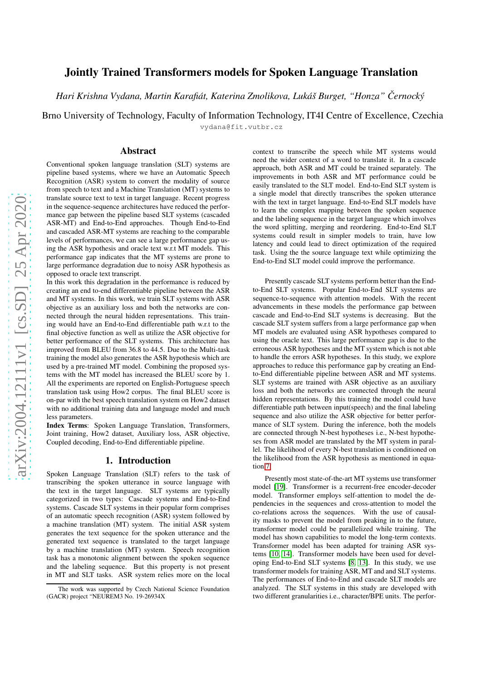# Jointly Trained Transformers models for Spoken Language Translation

*Hari Krishna Vydana, Martin Karafiat, Katerina Zmolikova, Luk ´ aˇs Burget, "Honza" ´ Cernock ˇ y´*

Brno University of Technology, Faculty of Information Technology, IT4I Centre of Excellence, Czechia

vydana@fit.vutbr.cz

## Abstract

Conventional spoken language translation (SLT) systems are pipeline based systems, where we have an Automatic Speech Recognition (ASR) system to convert the modality of source from speech to text and a Machine Translation (MT) systems to translate source text to text in target language. Recent progress in the sequence-sequence architectures have reduced the performance gap between the pipeline based SLT systems (cascaded ASR-MT) and End-to-End approaches. Though End-to-End and cascaded ASR-MT systems are reaching to the comparable levels of performances, we can see a large performance gap using the ASR hypothesis and oracle text w.r.t MT models. This performance gap indicates that the MT systems are prone to large performance degradation due to noisy ASR hypothesis as opposed to oracle text transcript.

In this work this degradation in the performance is reduced by creating an end to-end differentiable pipeline between the ASR and MT systems. In this work, we train SLT systems with ASR objective as an auxiliary loss and both the networks are connected through the neural hidden representations. This training would have an End-to-End differentiable path w.r.t to the final objective function as well as utilize the ASR objective for better performance of the SLT systems. This architecture has improved from BLEU from 36.8 to 44.5. Due to the Multi-task training the model also generates the ASR hypothesis which are used by a pre-trained MT model. Combining the proposed systems with the MT model has increased the BLEU score by 1. All the experiments are reported on English-Portuguese speech translation task using How2 corpus. The final BLEU score is on-par with the best speech translation system on How2 dataset with no additional training data and language model and much less parameters.

Index Terms: Spoken Language Translation, Transformers, Joint training, How2 dataset, Auxiliary loss, ASR objective, Coupled decoding, End-to-End differentiable pipeline.

### 1. Introduction

Spoken Language Translation (SLT) refers to the task of transcribing the spoken utterance in source language with the text in the target language. SLT systems are typically categorized in two types: Cascade systems and End-to-End systems. Cascade SLT systems in their popular form comprises of an automatic speech recognition (ASR) system followed by a machine translation (MT) system. The initial ASR system generates the text sequence for the spoken utterance and the generated text sequence is translated to the target language by a machine translation (MT) system. Speech recognition task has a monotonic alignment between the spoken sequence and the labeling sequence. But this property is not present in MT and SLT tasks. ASR system relies more on the local context to transcribe the speech while MT systems would need the wider context of a word to translate it. In a cascade approach, both ASR and MT could be trained separately. The improvements in both ASR and MT performance could be easily translated to the SLT model. End-to-End SLT system is a single model that directly transcribes the spoken utterance with the text in target language. End-to-End SLT models have to learn the complex mapping between the spoken sequence and the labeling sequence in the target language which involves the word splitting, merging and reordering. End-to-End SLT systems could result in simpler models to train, have low latency and could lead to direct optimization of the required task. Using the the source language text while optimizing the End-to-End SLT model could improve the performance.

Presently cascade SLT systems perform better than the Endto-End SLT systems. Popular End-to-End SLT systems are sequence-to-sequence with attention models. With the recent advancements in these models the performance gap between cascade and End-to-End SLT systems is decreasing. But the cascade SLT system suffers from a large performance gap when MT models are evaluated using ASR hypotheses compared to using the oracle text. This large performance gap is due to the erroneous ASR hypotheses and the MT system which is not able to handle the errors ASR hypotheses. In this study, we explore approaches to reduce this performance gap by creating an Endto-End differentiable pipeline between ASR and MT systems. SLT systems are trained with ASR objective as an auxiliary loss and both the networks are connected through the neural hidden representations. By this training the model could have differentiable path between input(speech) and the final labeling sequence and also utilize the ASR objective for better performance of SLT system. During the inference, both the models are connected through N-best hypotheses i.e., N-best hypotheses from ASR model are translated by the MT system in parallel. The likelihood of every N-best translation is conditioned on the likelihood from the ASR hypothesis as mentioned in equation [7.](#page-3-0)

Presently most state-of-the-art MT systems use transformer model [\[19\]](#page-6-0). Transformer is a recurrent-free encoder-decoder model. Transformer employs self-attention to model the dependencies in the sequences and cross-attention to model the co-relations across the sequences. With the use of causality masks to prevent the model from peaking in to the future, transformer model could be parallelized while training. The model has shown capabilities to model the long-term contexts. Transformer model has been adapted for training ASR systems [\[10,](#page-6-1) [14\]](#page-6-2). Transformer models have been used for developing End-to-End SLT systems [\[8,](#page-6-3) [13\]](#page-6-4). In this study, we use transformer models for training ASR, MT and and SLT systems. The performances of End-to-End and cascade SLT models are analyzed. The SLT systems in this study are developed with two different granularities i.e., character/BPE units. The perfor-

The work was supported by Czech National Science Foundation (GACR) project "NEUREM3 No. 19-26934X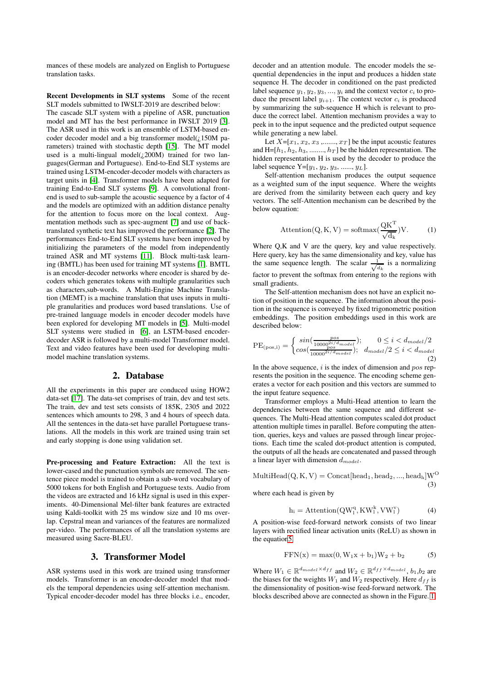mances of these models are analyzed on English to Portuguese translation tasks.

Recent Developments in SLT systems Some of the recent SLT models submitted to IWSLT-2019 are described below:

The cascade SLT system with a pipeline of ASR, punctuation model and MT has the best performance in IWSLT 2019 [\[3\]](#page-6-5). The ASR used in this work is an ensemble of LSTM-based encoder decoder model and a big transformer model( $\chi$ 150M parameters) trained with stochastic depth [\[15\]](#page-6-6). The MT model used is a multi-lingual model( $\zeta$ 200M) trained for two languages(German and Portuguese). End-to-End SLT systems are trained using LSTM-encoder-decoder models with characters as target units in [\[4\]](#page-6-7). Transformer models have been adapted for training End-to-End SLT systems [\[9\]](#page-6-8). A convolutional frontend is used to sub-sample the acoustic sequence by a factor of 4 and the models are optimized with an addition distance penalty for the attention to focus more on the local context. Augmentation methods such as spec-augment [\[7\]](#page-6-9) and use of backtranslated synthetic text has improved the performance [\[2\]](#page-6-10). The performances End-to-End SLT systems have been improved by initializing the parameters of the model from independently trained ASR and MT systems [\[11\]](#page-6-11). Block multi-task learning (BMTL) has been used for training MT systems [\[1\]](#page-6-12). BMTL is an encoder-decoder networks where encoder is shared by decoders which generates tokens with multiple granularities such as characters,sub-words. A Multi-Engine Machine Translation (MEMT) is a machine translation that uses inputs in multiple granularities and produces word based translations. Use of pre-trained language models in encoder decoder models have been explored for developing MT models in [\[5\]](#page-6-13). Multi-model SLT systems were studied in [\[6\]](#page-6-14), an LSTM-based encoderdecoder ASR is followed by a multi-model Transformer model. Text and video features have been used for developing multimodel machine translation systems.

### 2. Database

All the experiments in this paper are conduced using HOW2 data-set [\[17\]](#page-6-15). The data-set comprises of train, dev and test sets. The train, dev and test sets consists of 185K, 2305 and 2022 sentences which amounts to 298, 3 and 4 hours of speech data. All the sentences in the data-set have parallel Portuguese translations. All the models in this work are trained using train set and early stopping is done using validation set.

Pre-processing and Feature Extraction: All the text is lower-cased and the punctuation symbols are removed. The sentence piece model is trained to obtain a sub-word vocabulary of 5000 tokens for both English and Portuguese texts. Audio from the videos are extracted and 16 kHz signal is used in this experiments. 40-Dimensional Mel-filter bank features are extracted using Kaldi-toolkit with 25 ms window size and 10 ms overlap. Cepstral mean and variances of the features are normalized per-video. The performances of all the translation systems are measured using Sacre-BLEU.

### 3. Transformer Model

ASR systems used in this work are trained using transformer models. Transformer is an encoder-decoder model that models the temporal dependencies using self-attention mechanism. Typical encoder-decoder model has three blocks i.e., encoder, decoder and an attention module. The encoder models the sequential dependencies in the input and produces a hidden state sequence H. The decoder in conditioned on the past predicted label sequence  $y_1, y_2, y_3, ..., y_i$  and the context vector  $c_i$  to produce the present label  $y_{i+1}$ . The context vector  $c_i$  is produced by summarizing the sub-sequence H which is relevant to produce the correct label. Attention mechanism provides a way to peek in to the input sequence and the predicted output sequence while generating a new label.

Let  $X=[x_1, x_2, x_3, \ldots, x_T]$  be the input acoustic features and H=[ $h_1, h_2, h_3, \dots, h_T$ ] be the hidden representation. The hidden representation H is used by the decoder to produce the label sequence  $Y=[y_1, y_2, y_3, \ldots, y_L].$ 

Self-attention mechanism produces the output sequence as a weighted sum of the input sequence. Where the weights are derived from the similarity between each query and key vectors. The self-Attention mechanism can be described by the below equation:

$$
Attention(Q, K, V) = softmax(\frac{QK^{T}}{\sqrt{d_{k}}})V.
$$
 (1)

Where Q,K and V are the query, key and value respectively. Here query, key has the same dimensionality and key, value has the same sequence length. The scalar  $\frac{1}{\sqrt{d_k}}$  is a normalizing factor to prevent the softmax from entering to the regions with small gradients.

The Self-attention mechanism does not have an explicit notion of position in the sequence. The information about the position in the sequence is conveyed by fixed trigonometric position embeddings. The position embeddings used in this work are described below:

$$
PE_{(pos,i)} = \begin{cases} \sin(\frac{pos}{10000^{2i/d_{model}}}); & 0 \le i < d_{model}/2\\ \cos(\frac{pos}{10000^{2i/d_{model}}}); & d_{model}/2 \le i < d_{model} \end{cases}
$$
\n(2)

In the above sequence,  $i$  is the index of dimension and  $pos$  represents the position in the sequence. The encoding scheme generates a vector for each position and this vectors are summed to the input feature sequence.

Transformer employs a Multi-Head attention to learn the dependencies between the same sequence and different sequences. The Multi-Head attention computes scaled dot product attention multiple times in parallel. Before computing the attention, queries, keys and values are passed through linear projections. Each time the scaled dot-product attention is computed, the outputs of all the heads are concatenated and passed through a linear layer with dimension  $d_{model}$ .

 $MultiHead(Q, K, V) = Concat[head_1, head_2, ..., head_h]W^O$ (3)

where each head is given by

$$
h_i = \text{Attention}(QW_1^q, KW_1^k, VW_1^v) \tag{4}
$$

A position-wise feed-forward network consists of two linear layers with rectified linear activation units (ReLU) as shown in the equatio[n5.](#page-1-0)

<span id="page-1-0"></span>
$$
FFN(x) = \max(0, W_1x + b_1)W_2 + b_2
$$
 (5)

Where  $W_1 \in \mathbb{R}^{d_{model} \times d_{ff}}$  and  $W_2 \in \mathbb{R}^{d_{ff} \times d_{model}}$ ,  $b_1, b_2$  are the biases for the weights  $W_1$  and  $W_2$  respectively. Here  $d_{ff}$  is the dimensionality of position-wise feed-forward network. The blocks described above are connected as shown in the Figure. [1.](#page-2-0)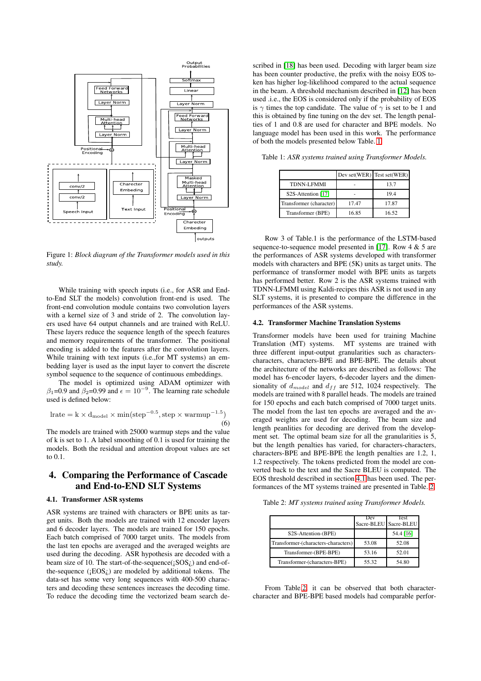<span id="page-2-0"></span>

Figure 1: *Block diagram of the Transformer models used in this study.*

While training with speech inputs (i.e., for ASR and Endto-End SLT the models) convolution front-end is used. The front-end convolution module contains two convolution layers with a kernel size of 3 and stride of 2. The convolution layers used have 64 output channels and are trained with ReLU. These layers reduce the sequence length of the speech features and memory requirements of the transformer. The positional encoding is added to the features after the convolution layers. While training with text inputs (i.e.,for MT systems) an embedding layer is used as the input layer to convert the discrete symbol sequence to the sequence of continuous embeddings.

The model is optimized using ADAM optimizer with  $\beta_1$ =0.9 and  $\beta_2$ =0.99 and  $\epsilon = 10^{-9}$ . The learning rate schedule used is defined below:

$$
lrate = k \times d_{model} \times min(step^{-0.5}, step \times warmup^{-1.5})
$$
\n(6)

The models are trained with 25000 warmup steps and the value of k is set to 1. A label smoothing of 0.1 is used for training the models. Both the residual and attention dropout values are set to 0.1.

# 4. Comparing the Performance of Cascade and End-to-END SLT Systems

### <span id="page-2-2"></span>4.1. Transformer ASR systems

ASR systems are trained with characters or BPE units as target units. Both the models are trained with 12 encoder layers and 6 decoder layers. The models are trained for 150 epochs. Each batch comprised of 7000 target units. The models from the last ten epochs are averaged and the averaged weights are used during the decoding. ASR hypothesis are decoded with a beam size of 10. The start-of-the-sequence $({}_1SOS_2)$  and end-ofthe-sequence  $(iEOS_i)$  are modeled by additional tokens. The data-set has some very long sequences with 400-500 characters and decoding these sentences increases the decoding time. To reduce the decoding time the vectorized beam search de-

scribed in [\[18\]](#page-6-16) has been used. Decoding with larger beam size has been counter productive, the prefix with the noisy EOS token has higher log-likelihood compared to the actual sequence in the beam. A threshold mechanism described in [\[12\]](#page-6-17) has been used .i.e., the EOS is considered only if the probability of EOS is  $\gamma$  times the top candidate. The value of  $\gamma$  is set to be 1 and this is obtained by fine tuning on the dev set. The length penalties of 1 and 0.8 are used for character and BPE models. No language model has been used in this work. The performance of both the models presented below Table. [1.](#page-2-1)

|                         |       | Dev set(WER) Test set(WER) |
|-------------------------|-------|----------------------------|
| <b>TDNN-LFMMI</b>       |       | 13.7                       |
| S2S-Attention [17]      |       | 19.4                       |
| Transformer (character) | 17.47 | 17.87                      |
| Transformer (BPE)       | 16.85 | 16.52                      |

<span id="page-2-1"></span>Table 1: *ASR systems trained using Transformer Models.*

Row 3 of Table.1 is the performance of the LSTM-based sequence-to-sequence model presented in [\[17\]](#page-6-15). Row 4 & 5 are the performances of ASR systems developed with transformer models with characters and BPE (5K) units as target units. The performance of transformer model with BPE units as targets has performed better. Row 2 is the ASR systems trained with TDNN-LFMMI using Kaldi-recipes this ASR is not used in any SLT systems, it is presented to compare the difference in the performances of the ASR systems.

#### <span id="page-2-4"></span>4.2. Transformer Machine Translation Systems

Transformer models have been used for training Machine Translation (MT) systems. MT systems are trained with three different input-output granularities such as characterscharacters, characters-BPE and BPE-BPE. The details about the architecture of the networks are described as follows: The model has 6-encoder layers, 6-decoder layers and the dimensionality of  $d_{model}$  and  $d_{ff}$  are 512, 1024 respectively. The models are trained with 8 parallel heads. The models are trained for 150 epochs and each batch comprised of 7000 target units. The model from the last ten epochs are averaged and the averaged weights are used for decoding. The beam size and length peanlities for decoding are derived from the development set. The optimal beam size for all the granularities is 5, but the length penalties has varied, for characters-characters, characters-BPE and BPE-BPE the length penalties are 1.2, 1, 1.2 respectively. The tokens predicted from the model are converted back to the text and the Sacre BLEU is computed. The EOS threshold described in section [4.1](#page-2-2) has been used. The performances of the MT systems trained are presented in Table. [2.](#page-2-3)

<span id="page-2-3"></span>Table 2: *MT systems trained using Transformer Models.*

|                                     | Dev<br>Sacre-BLEU Sacre-BLEU | Test      |
|-------------------------------------|------------------------------|-----------|
|                                     |                              |           |
| S2S-Attention-(BPE)                 |                              | 54.4 [16] |
| Transformer-(characters-characters) | 53.08                        | 52.08     |
| Transformer-(BPE-BPE)               | 53.16                        | 52.01     |
| Transformer-(characters-BPE)        | 55.32                        | 54.80     |

From Table[.2,](#page-2-3) it can be observed that both charactercharacter and BPE-BPE based models had comparable perfor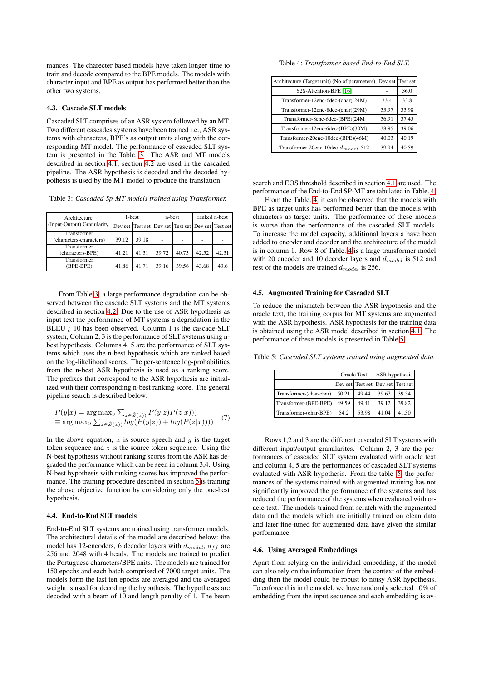mances. The charecter based models have taken longer time to train and decode compared to the BPE models. The models with character input and BPE as output has performed better than the other two systems.

#### 4.3. Cascade SLT models

Cascaded SLT comprises of an ASR system followed by an MT. Two different cascades systems have been trained i.e., ASR systems with characters, BPE's as output units along with the corresponding MT model. The performance of cascaded SLT system is presented in the Table. [3.](#page-3-1) The ASR and MT models described in section [4.1,](#page-2-2) section [4.2](#page-2-4) are used in the cascaded pipeline. The ASR hypothesis is decoded and the decoded hypothesis is used by the MT model to produce the translation.

<span id="page-3-1"></span>Table 3: *Cascaded Sp-MT models trained using Transformer.*

| Architecture                    | 1-best |                                                    |       | n-best | ranked n-best |       |  |
|---------------------------------|--------|----------------------------------------------------|-------|--------|---------------|-------|--|
| (Input-Output) Granularity      |        | Dev set Test set Dev set Test set Dev set Test set |       |        |               |       |  |
| Transformer                     |        |                                                    |       |        |               |       |  |
| (characters-characters)         | 39.12  | 39.18                                              |       |        |               |       |  |
| Transformer<br>(characters-BPE) | 41.21  | 41.31                                              | 39.72 | 40.73  | 42.52         | 42.31 |  |
| Transformer<br>(BPE-BPE)        | 41.86  | 41.71                                              | 39.16 | 39.56  | 43.68         | 43.6  |  |

From Table [3,](#page-3-1) a large performance degradation can be observed between the cascade SLT systems and the MT systems described in section [4.2.](#page-2-4) Due to the use of ASR hypothesis as input text the performance of MT systems a degradation in the BLEU  $\zeta$  10 has been observed. Column 1 is the cascade-SLT system, Column 2, 3 is the performance of SLT systems using nbest hypothesis. Columns 4, 5 are the performance of SLT systems which uses the n-best hypothesis which are ranked based on the log-likelihood scores. The per-sentence log-probabilities from the n-best ASR hypothesis is used as a ranking score. The prefixes that correspond to the ASR hypothesis are initialized with their corresponding n-best ranking score. The general pipeline search is described below:

<span id="page-3-0"></span>
$$
P(y|x) = \arg \max_{y} \sum_{z \in \hat{Z}(x)} P(y|z)P(z|x))
$$
  
\n
$$
\equiv \arg \max_{y} \sum_{z \in \hat{Z}(x)} log(P(y|z)) + log(P(z|x))
$$
 (7)

In the above equation,  $x$  is source speech and  $y$  is the target token sequence and  $z$  is the source token sequence. Using the N-best hypothesis without ranking scores from the ASR has degraded the performance which can be seen in column 3,4. Using N-best hypothesis with ranking scores has improved the performance. The training procedure described in section [5](#page-4-0) is training the above objective function by considering only the one-best hypothesis.

### 4.4. End-to-End SLT models

End-to-End SLT systems are trained using transformer models. The architectural details of the model are described below: the model has 12-encoders, 6 decoder layers with  $d_{model}$ ,  $d_{ff}$  are 256 and 2048 with 4 heads. The models are trained to predict the Portuguese characters/BPE units. The models are trained for 150 epochs and each batch comprised of 7000 target units. The models form the last ten epochs are averaged and the averaged weight is used for decoding the hypothesis. The hypotheses are decoded with a beam of 10 and length penalty of 1. The beam

<span id="page-3-2"></span>Table 4: *Transformer based End-to-End SLT.*

| Architecture (Target unit) (No.of parameters) Dev set |       | Test set |
|-------------------------------------------------------|-------|----------|
| S2S-Attention-BPE [16]                                |       | 36.0     |
| Transformer-12enc-6dec-(char)(24M)                    | 33.4  | 33.8     |
| Transformer-12enc-8dec-(char)(29M)                    | 33.97 | 33.98    |
| Transformer-8enc-6dec-(BPE)(24M                       | 36.91 | 37.45    |
| Transformer-12enc-6dec-(BPE)(30M)                     | 38.95 | 39.06    |
| Transformer-20enc-10dec-(BPE)(46M)                    | 40.03 | 40.19    |
| Transformer-20enc-10dec- $d_{model}$ -512             | 39.94 | 40.59    |

search and EOS threshold described in section [4.1](#page-2-2) are used. The performance of the End-to-End SP-MT are tabulated in Table. [4.](#page-3-2)

From the Table. [4,](#page-3-2) it can be observed that the models with BPE as target units has performed better than the models with characters as target units. The performance of these models is worse than the performance of the cascaded SLT models. To increase the model capacity, additional layers a have been added to encoder and decoder and the architecture of the model is in column 1. Row 8 of Table. [4](#page-3-2) is a large transformer model with 20 encoder and 10 decoder layers and  $d_{model}$  is 512 and rest of the models are trained  $d_{model}$  is 256.

#### 4.5. Augmented Training for Cascaded SLT

To reduce the mismatch between the ASR hypothesis and the oracle text, the training corpus for MT systems are augmented with the ASR hypothesis. ASR hypothesis for the training data is obtained using the ASR model described in section [4.1.](#page-2-2) The performance of these models is presented in Table [5.](#page-3-3)

<span id="page-3-3"></span>Table 5: *Cascaded SLT systems trained using augmented data.*

|                         |       | Oracle Text                       | ASR hypothesis |       |  |
|-------------------------|-------|-----------------------------------|----------------|-------|--|
|                         |       | Dev set Test set Dev set Test set |                |       |  |
| Transformer-(char-char) | 50.21 | 49.44                             | 39.67          | 39.54 |  |
| Transformer-(BPE-BPE)   | 49.59 | 49.41                             | 39.12          | 39.82 |  |
| Transformer-(char-BPE)  | 54.2  | 53.98                             | 41.04          | 41.30 |  |

Rows 1,2 and 3 are the different cascaded SLT systems with different input/output granularites. Column 2, 3 are the performances of cascaded SLT system evaluated with oracle text and column 4, 5 are the performances of cascaded SLT systems evaluated with ASR hypothesis. From the table [.5,](#page-3-3) the performances of the systems trained with augmented training has not significantly improved the performance of the systems and has reduced the performance of the systems when evaluated with oracle text. The models trained from scratch with the augmented data and the models which are initially trained on clean data and later fine-tuned for augmented data have given the similar performance.

#### 4.6. Using Averaged Embeddings

Apart from relying on the individual embedding, if the model can also rely on the information from the context of the embedding then the model could be robust to noisy ASR hypothesis. To enforce this in the model, we have randomly selected 10% of embedding from the input sequence and each embedding is av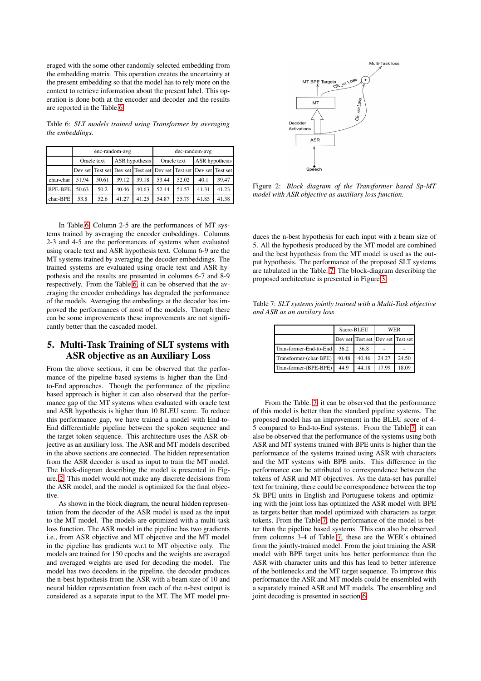eraged with the some other randomly selected embedding from the embedding matrix. This operation creates the uncertainty at the present embedding so that the model has to rely more on the context to retrieve information about the present label. This operation is done both at the encoder and decoder and the results are reported in the Table[.6.](#page-4-1)

<span id="page-4-1"></span>Table 6: *SLT models trained using Transformer by averaging the embeddings.*

|                | enc-random-avg                |       |                                                                     |                               |       |       | dec-random-avg |       |
|----------------|-------------------------------|-------|---------------------------------------------------------------------|-------------------------------|-------|-------|----------------|-------|
|                | ASR hypothesis<br>Oracle text |       |                                                                     | ASR hypothesis<br>Oracle text |       |       |                |       |
|                |                               |       | Dev set Test set Dev set Test set Dev set Test set Dev set Test set |                               |       |       |                |       |
| char-char      | 51.94                         | 50.61 | 39.12                                                               | 39.18                         | 53.44 | 52.02 | 40.1           | 39.47 |
| <b>BPE-BPE</b> | 50.63                         | 50.2  | 40.46                                                               | 40.63                         | 52.44 | 51.57 | 41.31          | 41.23 |
| char-BPE       | 53.8                          | 52.6  | 41.27                                                               | 41.25                         | 54.87 | 55.79 | 41.85          | 41.38 |

In Table[.6,](#page-4-1) Column 2-5 are the performances of MT systems trained by averaging the encoder embeddings. Columns 2-3 and 4-5 are the performances of systems when evaluated using oracle text and ASR hypothesis text. Column 6-9 are the MT systems trained by averaging the decoder embeddings. The trained systems are evaluated using oracle text and ASR hypothesis and the results are presented in columns 6-7 and 8-9 respectively. From the Table[.6,](#page-4-1) it can be observed that the averaging the encoder embeddings has degraded the performance of the models. Averaging the embedings at the decoder has improved the performances of most of the models. Though there can be some improvements these improvements are not significantly better than the cascaded model.

# <span id="page-4-0"></span>5. Multi-Task Training of SLT systems with ASR objective as an Auxiliary Loss

From the above sections, it can be observed that the performance of the pipeline based systems is higher than the Endto-End approaches. Though the performance of the pipeline based approach is higher it can also observed that the performance gap of the MT systems when evaluated with oracle text and ASR hypothesis is higher than 10 BLEU score. To reduce this performance gap, we have trained a model with End-to-End differentiable pipeline between the spoken sequence and the target token sequence. This architecture uses the ASR objective as an auxiliary loss. The ASR and MT models described in the above sections are connected. The hidden representation from the ASR decoder is used as input to train the MT model. The block-diagram describing the model is presented in Figure. [2.](#page-4-2) This model would not make any discrete decisions from the ASR model, and the model is optimized for the final objective

As shown in the block diagram, the neural hidden representation from the decoder of the ASR model is used as the input to the MT model. The models are optimized with a multi-task loss function. The ASR model in the pipeline has two gradients i.e., from ASR objective and MT objective and the MT model in the pipeline has gradients w.r.t to MT objective only. The models are trained for 150 epochs and the weights are averaged and averaged weights are used for decoding the model. The model has two decoders in the pipeline, the decoder produces the n-best hypothesis from the ASR with a beam size of 10 and neural hidden representation from each of the n-best output is considered as a separate input to the MT. The MT model pro-

<span id="page-4-2"></span>

Figure 2: *Block diagram of the Transformer based Sp-MT model with ASR objective as auxiliary loss function.*

duces the n-best hypothesis for each input with a beam size of 5. All the hypothesis produced by the MT model are combined and the best hypothesis from the MT model is used as the output hypothesis. The performance of the proposed SLT systems are tabulated in the Table. [7.](#page-4-3) The block-diagram describing the proposed architecture is presented in Figure[.3.](#page-5-0)

<span id="page-4-3"></span>Table 7: *SLT systems jointly trained with a Multi-Task objective and ASR as an auxilary loss*

|                        | Sacre-BLEU |                                   | WER   |       |  |
|------------------------|------------|-----------------------------------|-------|-------|--|
|                        |            | Dev set Test set Dev set Test set |       |       |  |
| Transformer-End-to-End | 36.2       | 36.8                              |       |       |  |
| Transformer-(char-BPE) | 40.48      | 40.46                             | 24.27 | 24.50 |  |
| Transformer-(BPE-BPE)  | 44.9       | 44.18                             | 17.99 | 18.09 |  |

From the Table. [7,](#page-4-3) it can be observed that the performance of this model is better than the standard pipeline systems. The proposed model has an improvement in the BLEU score of 4- 5 compared to End-to-End systems. From the Table[.7,](#page-4-3) it can also be observed that the performance of the systems using both ASR and MT systems trained with BPE units is higher than the performance of the systems trained using ASR with characters and the MT systems with BPE units. This difference in the performance can be attributed to correspondence between the tokens of ASR and MT objectives. As the data-set has parallel text for training, there could be correspondence between the top 5k BPE units in English and Portuguese tokens and optimizing with the joint loss has optimized the ASR model with BPE as targets better than model optimized with characters as target tokens. From the Table [7,](#page-4-3) the performance of the model is better than the pipeline based systems. This can also be observed from columns 3-4 of Table [7,](#page-4-3) these are the WER's obtained from the jointly-trained model. From the joint training the ASR model with BPE target units has better performance than the ASR with character units and this has lead to better inference of the bottlenecks and the MT target sequence. To improve this performance the ASR and MT models could be ensembled with a separately trained ASR and MT models. The ensembling and joint decoding is presented in section [6.](#page-5-1)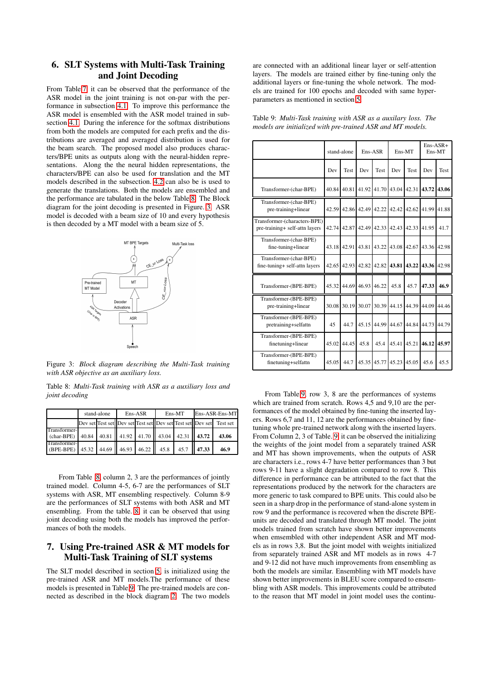# <span id="page-5-1"></span>6. SLT Systems with Multi-Task Training and Joint Decoding

From Table[.7,](#page-4-3) it can be observed that the performance of the ASR model in the joint training is not on-par with the performance in subsection [4.1.](#page-2-2) To improve this performance the ASR model is ensembled with the ASR model trained in subsection [4.1.](#page-2-2) During the inference for the softmax distributions from both the models are computed for each prefix and the distributions are averaged and averaged distribution is used for the beam search. The proposed model also produces characters/BPE units as outputs along with the neural-hidden representations. Along the the neural hidden representations, the characters/BPE can also be used for translation and the MT models described in the subsection. [4.2](#page-2-4) can also be is used to generate the translations. Both the models are ensembled and the performance are tabulated in the below Table[.8.](#page-5-2) The Block diagram for the joint decoding is presented in Figure. [3.](#page-5-0) ASR model is decoded with a beam size of 10 and every hypothesis is then decoded by a MT model with a beam size of 5.

<span id="page-5-0"></span>

Figure 3: *Block diagram describing the Multi-Task training with ASR objective as an auxiliary loss.*

<span id="page-5-2"></span>Table 8: *Multi-Task training with ASR as a auxiliary loss and joint decoding*

|                                                                    | stand-alone | $Ens-ASR$ |  | Ens-MT                                    | Ens-ASR-Ens-MT |                                                                     |  |
|--------------------------------------------------------------------|-------------|-----------|--|-------------------------------------------|----------------|---------------------------------------------------------------------|--|
|                                                                    |             |           |  |                                           |                | Dev set Test set Dev set Test set Dev set Test set Dev set Test set |  |
| Transformer-<br>$(char-BPE)$                                       |             |           |  | 40.84 40.81 41.92 41.70 43.04 42.31 43.72 |                | 43.06                                                               |  |
| <b>Transformer-</b><br>(BPE-BPE) 45.32 44.69 46.93 46.22 45.8 45.7 |             |           |  |                                           | 47.33          | 46.9                                                                |  |

From Table [.8,](#page-5-2) column 2, 3 are the performances of jointly trained model. Column 4-5, 6-7 are the performances of SLT systems with ASR, MT ensembling respectively. Column 8-9 are the performances of SLT systems with both ASR and MT ensembling. From the table. [8,](#page-5-2) it can be observed that using joint decoding using both the models has improved the performances of both the models.

## 7. Using Pre-trained ASR & MT models for Multi-Task Training of SLT systems

The SLT model described in section [5,](#page-4-0) is initialized using the pre-trained ASR and MT models.The performance of these models is presented in Table[.9.](#page-5-3) The pre-trained models are connected as described in the block diagram [2.](#page-4-2) The two models are connected with an additional linear layer or self-attention layers. The models are trained either by fine-tuning only the additional layers or fine-tuning the whole network. The models are trained for 100 epochs and decoded with same hyperparameters as mentioned in section [5.](#page-4-0)

|                                                                |       | stand-alone |       | Ens-ASR     |       | Ens-MT      |       | $Ens-ASR+$<br>Ens-MT |
|----------------------------------------------------------------|-------|-------------|-------|-------------|-------|-------------|-------|----------------------|
|                                                                | Dev   | <b>Test</b> | Dev   | <b>Test</b> | Dev   | <b>Test</b> | Dev   | <b>Test</b>          |
| Transformer-(char-BPE)                                         | 40.84 | 40.81       | 41.92 | 41.70       | 43.04 | 42.31       | 43.72 | 43.06                |
| Transformer-(char-BPE)<br>pre-training+linear                  | 42.59 | 42.86       | 42.49 | 42.22       | 42.42 | 42.62       | 41.99 | 41.88                |
| Transformer-(characters-BPE)<br>pre-training+ self-attn layers | 42.74 | 42.87       | 42.49 | 42.33       | 42.43 | 42.33       | 41.95 | 41.7                 |
| Transformer-(char-BPE)<br>fine-tuning+linear                   | 43.18 | 42.91       | 43.81 | 43.22       | 43.08 | 42.67       | 43.36 | 42.98                |
| Transformer-(char-BPE)<br>fine-tuning+ self-attn layers        | 42.65 | 42.93       | 42.82 | 42.82       | 43.81 | 43.22       | 43.36 | 42.98                |
| Transformer-(BPE-BPE)                                          | 45.32 | 44.69       | 46.93 | 46.22       | 45.8  | 45.7        | 47.33 | 46.9                 |
| Transformer-(BPE-BPE)<br>pre-training+linear                   | 30.08 | 30.19       | 30.07 | 30.39       | 44.15 | 44.39       | 44.09 | 44.46                |
| Transformer-(BPE-BPE)<br>pretraining+selfattn                  | 45    | 44.7        | 45.15 | 44.99       | 44.67 | 44.84       | 44.73 | 44.79                |
| Transformer-(BPE-BPE)<br>finetuning+linear                     | 45.02 | 44.45       | 45.8  | 45.4        | 45.41 | 45.21       | 46.12 | 45.97                |
| Transformer-(BPE-BPE)<br>finetuning+selfattn                   | 45.05 | 44.7        | 45.35 | 45.77       | 45.23 | 45.05       | 45.6  | 45.5                 |

<span id="page-5-3"></span>Table 9: *Multi-Task training with ASR as a auxilary loss. The models are initialized with pre-trained ASR and MT models.*

From Table[.9,](#page-5-3) row 3, 8 are the performances of systems which are trained from scratch. Rows 4,5 and 9,10 are the performances of the model obtained by fine-tuning the inserted layers. Rows 6,7 and 11, 12 are the performances obtained by finetuning whole pre-trained network along with the inserted layers. From Column 2, 3 of Table. [9,](#page-5-3) it can be observed the initializing the weights of the joint model from a separately trained ASR and MT has shown improvements, when the outputs of ASR are characters i.e., rows 4-7 have better performances than 3 but rows 9-11 have a slight degradation compared to row 8. This difference in performance can be attributed to the fact that the representations produced by the network for the characters are more generic to task compared to BPE units. This could also be seen in a sharp drop in the performance of stand-alone system in row 9 and the performance is recovered when the discrete BPEunits are decoded and translated through MT model. The joint models trained from scratch have shown better improvements when emsembled with other independent ASR and MT models as in rows 3,8. But the joint model with weights initialized from separately trained ASR and MT models as in rows 4-7 and 9-12 did not have much improvements from ensembling as both the models are similar. Ensembling with MT models have shown better improvements in BLEU score compared to ensembling with ASR models. This improvements could be attributed to the reason that MT model in joint model uses the continu